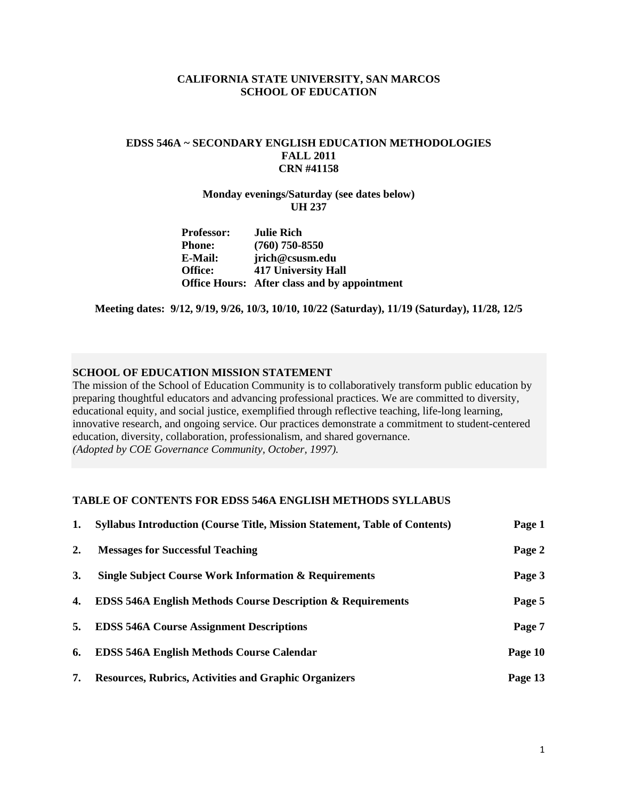## **CALIFORNIA STATE UNIVERSITY, SAN MARCOS SCHOOL OF EDUCATION**

# **EDSS 546A ~ SECONDARY ENGLISH EDUCATION METHODOLOGIES FALL 2011 CRN #41158**

## **Monday evenings/Saturday (see dates below) UH 237**

| <b>Professor:</b> | <b>Julie Rich</b>                                   |
|-------------------|-----------------------------------------------------|
| Phone:            | $(760)$ 750-8550                                    |
| <b>E-Mail:</b>    | jrich@csusm.edu                                     |
| <b>Office:</b>    | <b>417 University Hall</b>                          |
|                   | <b>Office Hours:</b> After class and by appointment |

**Meeting dates: 9/12, 9/19, 9/26, 10/3, 10/10, 10/22 (Saturday), 11/19 (Saturday), 11/28, 12/5** 

# **SCHOOL OF EDUCATION MISSION STATEMENT**

education, diversity, collaboration, professionalism, and shared governance. The mission of the School of Education Community is to collaboratively transform public education by preparing thoughtful educators and advancing professional practices. We are committed to diversity, educational equity, and social justice, exemplified through reflective teaching, life-long learning, innovative research, and ongoing service. Our practices demonstrate a commitment to student-centered *(Adopted by COE Governance Community, October, 1997).* 

# **TABLE OF CONTENTS FOR EDSS 546A ENGLISH METHODS SYLLABUS**

| 1. | <b>Syllabus Introduction (Course Title, Mission Statement, Table of Contents)</b> | Page 1  |
|----|-----------------------------------------------------------------------------------|---------|
| 2. | <b>Messages for Successful Teaching</b>                                           | Page 2  |
| 3. | <b>Single Subject Course Work Information &amp; Requirements</b>                  | Page 3  |
| 4. | <b>EDSS 546A English Methods Course Description &amp; Requirements</b>            | Page 5  |
| 5. | <b>EDSS 546A Course Assignment Descriptions</b>                                   | Page 7  |
| 6. | <b>EDSS 546A English Methods Course Calendar</b>                                  | Page 10 |
| 7. | <b>Resources, Rubrics, Activities and Graphic Organizers</b>                      | Page 13 |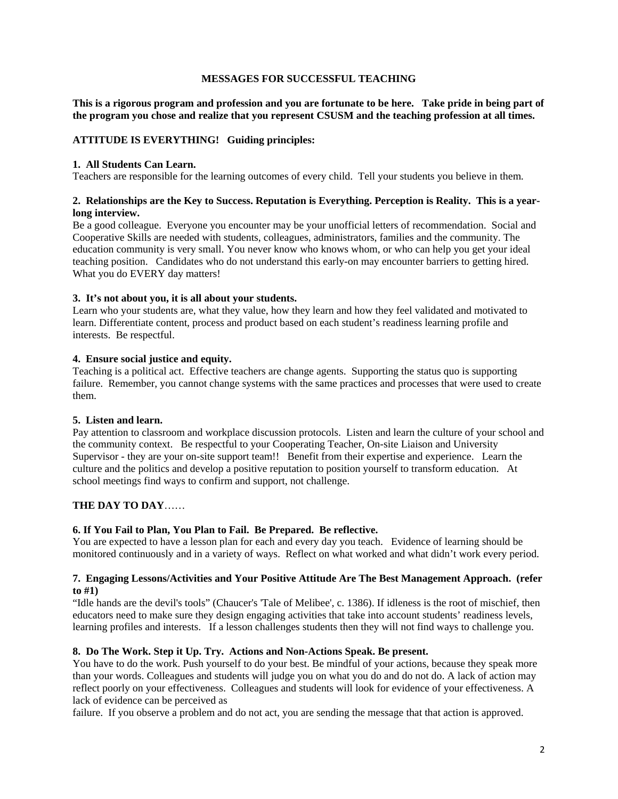## **MESSAGES FOR SUCCESSFUL TEACHING**

**This is a rigorous program and profession and you are fortunate to be here. Take pride in being part of the program you chose and realize that you represent CSUSM and the teaching profession at all times.** 

## **ATTITUDE IS EVERYTHING! Guiding principles:**

#### **1. All Students Can Learn.**

Teachers are responsible for the learning outcomes of every child. Tell your students you believe in them.

## **2. Relationships are the Key to Success. Reputation is Everything. Perception is Reality. This is a yearlong interview.**

 Be a good colleague. Everyone you encounter may be your unofficial letters of recommendation. Social and teaching position. Candidates who do not understand this early-on may encounter barriers to getting hired. What you do EVERY day matters! Cooperative Skills are needed with students, colleagues, administrators, families and the community. The education community is very small. You never know who knows whom, or who can help you get your ideal

#### **3. It's not about you, it is all about your students.**

 learn. Differentiate content, process and product based on each student's readiness learning profile and Learn who your students are, what they value, how they learn and how they feel validated and motivated to interests. Be respectful.

## **4. Ensure social justice and equity.**

Teaching is a political act. Effective teachers are change agents. Supporting the status quo is supporting failure. Remember, you cannot change systems with the same practices and processes that were used to create them.

#### **5. Listen and learn.**

 Pay attention to classroom and workplace discussion protocols. Listen and learn the culture of your school and the community context. Be respectful to your Cooperating Teacher, On-site Liaison and University Supervisor - they are your on-site support team!! Benefit from their expertise and experience. Learn the culture and the politics and develop a positive reputation to position yourself to transform education. At school meetings find ways to confirm and support, not challenge.

## **THE DAY TO DAY**……

## **6. If You Fail to Plan, You Plan to Fail. Be Prepared. Be reflective.**

You are expected to have a lesson plan for each and every day you teach. Evidence of learning should be monitored continuously and in a variety of ways. Reflect on what worked and what didn't work every period.

#### **7. Engaging Lessons/Activities and Your Positive Attitude Are The Best Management Approach. (refer to #1)**

"Idle hands are the devil's tools" (Chaucer's 'Tale of Melibee', c. 1386). If idleness is the root of mischief, then educators need to make sure they design engaging activities that take into account students' readiness levels, learning profiles and interests. If a lesson challenges students then they will not find ways to challenge you.

## **8. Do The Work. Step it Up. Try. Actions and Non-Actions Speak. Be present.**

 than your words. Colleagues and students will judge you on what you do and do not do. A lack of action may You have to do the work. Push yourself to do your best. Be mindful of your actions, because they speak more reflect poorly on your effectiveness. Colleagues and students will look for evidence of your effectiveness. A lack of evidence can be perceived as

failure. If you observe a problem and do not act, you are sending the message that that action is approved.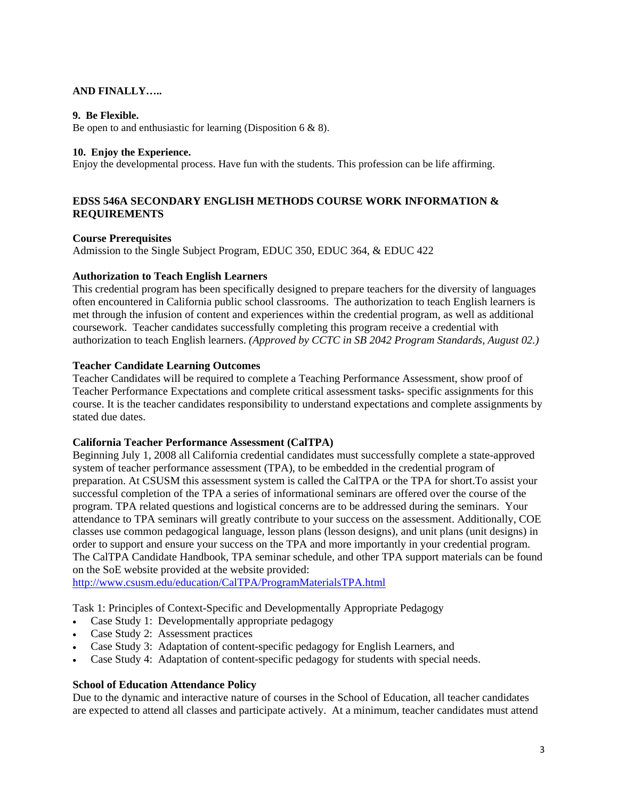# **AND FINALLY…..**

## **9. Be Flexible.**

Be open to and enthusiastic for learning (Disposition 6 & 8).

#### **10. Enjoy the Experience.**

Enjoy the developmental process. Have fun with the students. This profession can be life affirming.

# **EDSS 546A SECONDARY ENGLISH METHODS COURSE WORK INFORMATION & REQUIREMENTS**

## **Course Prerequisites**

Admission to the Single Subject Program, EDUC 350, EDUC 364, & EDUC 422

## **Authorization to Teach English Learners**

This credential program has been specifically designed to prepare teachers for the diversity of languages often encountered in California public school classrooms. The authorization to teach English learners is met through the infusion of content and experiences within the credential program, as well as additional coursework. Teacher candidates successfully completing this program receive a credential with authorization to teach English learners. *(Approved by CCTC in SB 2042 Program Standards, August 02.)* 

## **Teacher Candidate Learning Outcomes**

Teacher Candidates will be required to complete a Teaching Performance Assessment, show proof of Teacher Performance Expectations and complete critical assessment tasks- specific assignments for this course. It is the teacher candidates responsibility to understand expectations and complete assignments by stated due dates.

#### **California Teacher Performance Assessment (CalTPA)**

Beginning July 1, 2008 all California credential candidates must successfully complete a state-approved system of teacher performance assessment (TPA), to be embedded in the credential program of preparation. At CSUSM this assessment system is called the CalTPA or the TPA for short.To assist your successful completion of the TPA a series of informational seminars are offered over the course of the program. TPA related questions and logistical concerns are to be addressed during the seminars. Your attendance to TPA seminars will greatly contribute to your success on the assessment. Additionally, COE classes use common pedagogical language, lesson plans (lesson designs), and unit plans (unit designs) in order to support and ensure your success on the TPA and more importantly in your credential program. The CalTPA Candidate Handbook, TPA seminar schedule, and other TPA support materials can be found on the SoE website provided at the website provided:

http://www.csusm.edu/education/CalTPA/ProgramMaterialsTPA.html

Task 1: Principles of Context-Specific and Developmentally Appropriate Pedagogy

- Case Study 1: Developmentally appropriate pedagogy
- Case Study 2: Assessment practices
- Case Study 3: Adaptation of content-specific pedagogy for English Learners, and
- Case Study 4: Adaptation of content-specific pedagogy for students with special needs.

## **School of Education Attendance Policy**

Due to the dynamic and interactive nature of courses in the School of Education, all teacher candidates are expected to attend all classes and participate actively. At a minimum, teacher candidates must attend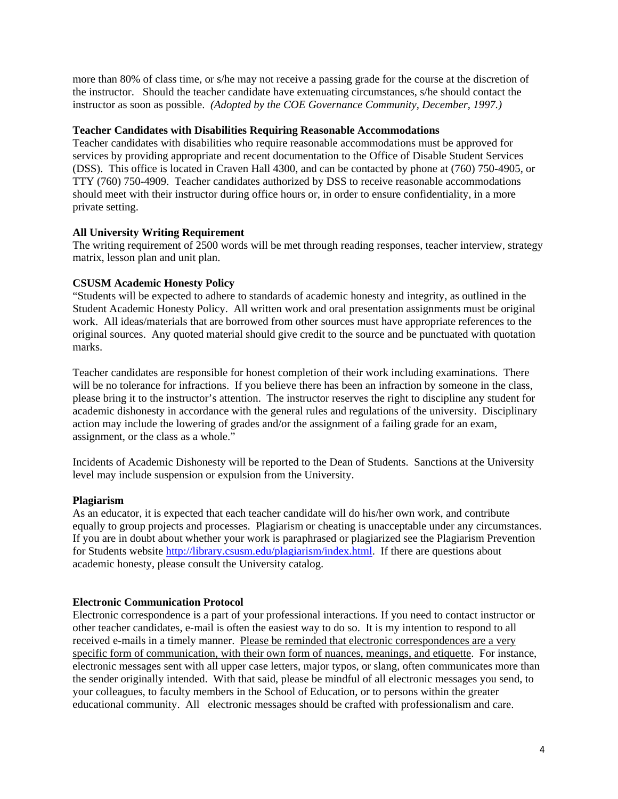instructor as soon as possible. *(Adopted by the COE Governance Community, December, 1997.)* more than 80% of class time, or s/he may not receive a passing grade for the course at the discretion of the instructor. Should the teacher candidate have extenuating circumstances, s/he should contact the

#### **Teacher Candidates with Disabilities Requiring Reasonable Accommodations**

Teacher candidates with disabilities who require reasonable accommodations must be approved for services by providing appropriate and recent documentation to the Office of Disable Student Services (DSS). This office is located in Craven Hall 4300, and can be contacted by phone at (760) 750-4905, or TTY (760) 750-4909. Teacher candidates authorized by DSS to receive reasonable accommodations should meet with their instructor during office hours or, in order to ensure confidentiality, in a more private setting.

## **All University Writing Requirement**

The writing requirement of 2500 words will be met through reading responses, teacher interview, strategy matrix, lesson plan and unit plan.

## **CSUSM Academic Honesty Policy**

"Students will be expected to adhere to standards of academic honesty and integrity, as outlined in the Student Academic Honesty Policy. All written work and oral presentation assignments must be original work. All ideas/materials that are borrowed from other sources must have appropriate references to the original sources. Any quoted material should give credit to the source and be punctuated with quotation marks.

 academic dishonesty in accordance with the general rules and regulations of the university. Disciplinary Teacher candidates are responsible for honest completion of their work including examinations. There will be no tolerance for infractions. If you believe there has been an infraction by someone in the class, please bring it to the instructor's attention. The instructor reserves the right to discipline any student for action may include the lowering of grades and/or the assignment of a failing grade for an exam, assignment, or the class as a whole."

Incidents of Academic Dishonesty will be reported to the Dean of Students. Sanctions at the University level may include suspension or expulsion from the University.

#### **Plagiarism**

As an educator, it is expected that each teacher candidate will do his/her own work, and contribute equally to group projects and processes. Plagiarism or cheating is unacceptable under any circumstances. If you are in doubt about whether your work is paraphrased or plagiarized see the Plagiarism Prevention for Students website http://library.csusm.edu/plagiarism/index.html. If there are questions about academic honesty, please consult the University catalog.

## **Electronic Communication Protocol**

Electronic correspondence is a part of your professional interactions. If you need to contact instructor or other teacher candidates, e-mail is often the easiest way to do so. It is my intention to respond to all received e-mails in a timely manner. Please be reminded that electronic correspondences are a very specific form of communication, with their own form of nuances, meanings, and etiquette. For instance, electronic messages sent with all upper case letters, major typos, or slang, often communicates more than the sender originally intended. With that said, please be mindful of all electronic messages you send, to your colleagues, to faculty members in the School of Education, or to persons within the greater educational community. All electronic messages should be crafted with professionalism and care.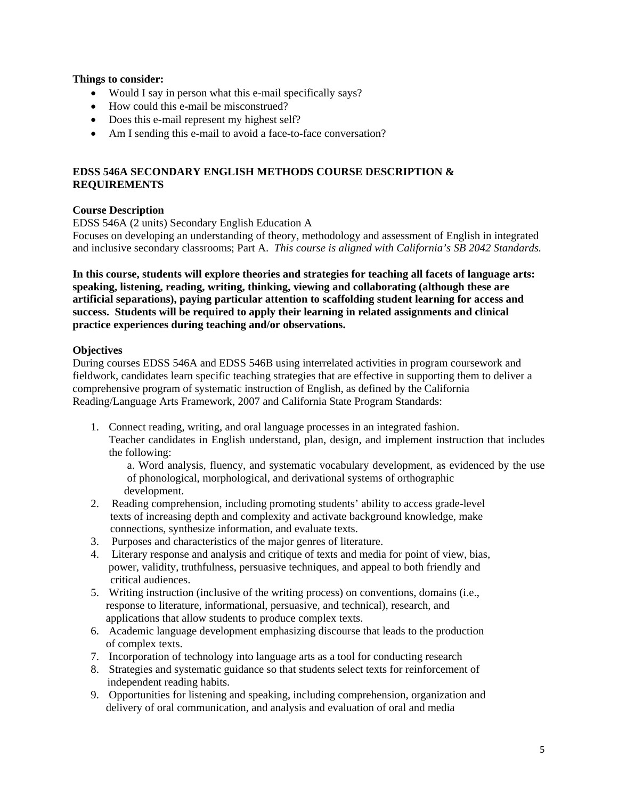# **Things to consider:**

- Would I say in person what this e-mail specifically says?
- How could this e-mail be misconstrued?
- Does this e-mail represent my highest self?
- Am I sending this e-mail to avoid a face-to-face conversation?

# **EDSS 546A SECONDARY ENGLISH METHODS COURSE DESCRIPTION & REQUIREMENTS**

# **Course Description**

EDSS 546A (2 units) Secondary English Education A

Focuses on developing an understanding of theory, methodology and assessment of English in integrated and inclusive secondary classrooms; Part A. *This course is aligned with California's SB 2042 Standards.* 

**In this course, students will explore theories and strategies for teaching all facets of language arts: speaking, listening, reading, writing, thinking, viewing and collaborating (although these are artificial separations), paying particular attention to scaffolding student learning for access and success. Students will be required to apply their learning in related assignments and clinical practice experiences during teaching and/or observations.** 

## **Objectives**

During courses EDSS 546A and EDSS 546B using interrelated activities in program coursework and fieldwork, candidates learn specific teaching strategies that are effective in supporting them to deliver a comprehensive program of systematic instruction of English, as defined by the California Reading/Language Arts Framework, 2007 and California State Program Standards:

1. Connect reading, writing, and oral language processes in an integrated fashion. Teacher candidates in English understand, plan, design, and implement instruction that includes the following:

a. Word analysis, fluency, and systematic vocabulary development, as evidenced by the use of phonological, morphological, and derivational systems of orthographic development.

- 2. Reading comprehension, including promoting students' ability to access grade-level texts of increasing depth and complexity and activate background knowledge, make connections, synthesize information, and evaluate texts.
- 3. Purposes and characteristics of the major genres of literature.
- 4. Literary response and analysis and critique of texts and media for point of view, bias, power, validity, truthfulness, persuasive techniques, and appeal to both friendly and critical audiences.
- 5. Writing instruction (inclusive of the writing process) on conventions, domains (i.e., response to literature, informational, persuasive, and technical), research, and applications that allow students to produce complex texts.
- 6. Academic language development emphasizing discourse that leads to the production of complex texts.
- 7. Incorporation of technology into language arts as a tool for conducting research
- 8. Strategies and systematic guidance so that students select texts for reinforcement of independent reading habits.
- 9. Opportunities for listening and speaking, including comprehension, organization and delivery of oral communication, and analysis and evaluation of oral and media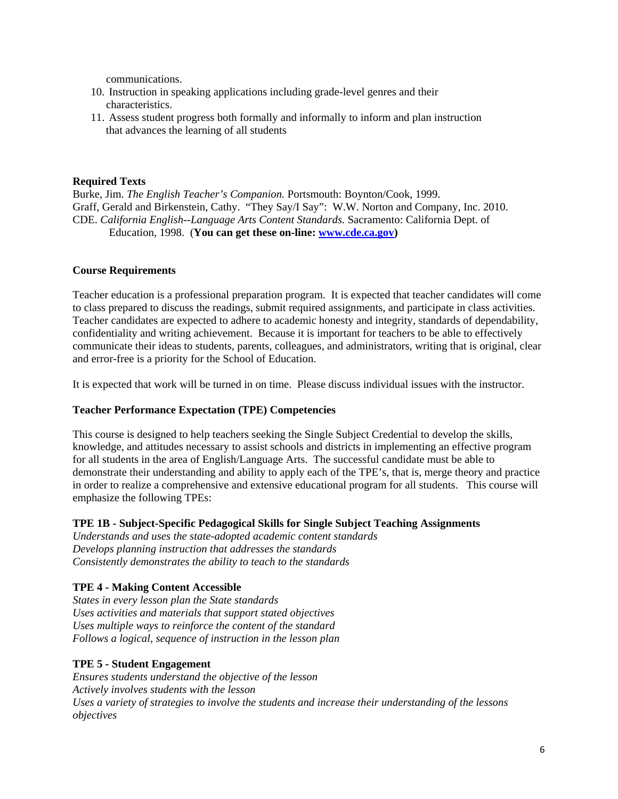communications.

- 10. Instruction in speaking applications including grade-level genres and their characteristics.
- 11. Assess student progress both formally and informally to inform and plan instruction that advances the learning of all students

# **Required Texts**

Burke, Jim. *The English Teacher's Companion.* Portsmouth: Boynton/Cook, 1999. Graff, Gerald and Birkenstein, Cathy. "They Say/I Say": W.W. Norton and Company, Inc. 2010. CDE. *California English--Language Arts Content Standards.* Sacramento: California Dept. of Education, 1998. (**You can get these on-line: www.cde.ca.gov)** 

## **Course Requirements**

and error-free is a priority for the School of Education. Teacher education is a professional preparation program. It is expected that teacher candidates will come to class prepared to discuss the readings, submit required assignments, and participate in class activities. Teacher candidates are expected to adhere to academic honesty and integrity, standards of dependability, confidentiality and writing achievement. Because it is important for teachers to be able to effectively communicate their ideas to students, parents, colleagues, and administrators, writing that is original, clear

It is expected that work will be turned in on time. Please discuss individual issues with the instructor.

## **Teacher Performance Expectation (TPE) Competencies**

This course is designed to help teachers seeking the Single Subject Credential to develop the skills, knowledge, and attitudes necessary to assist schools and districts in implementing an effective program for all students in the area of English/Language Arts. The successful candidate must be able to demonstrate their understanding and ability to apply each of the TPE's, that is, merge theory and practice in order to realize a comprehensive and extensive educational program for all students. This course will emphasize the following TPEs:

## **TPE 1B - Subject-Specific Pedagogical Skills for Single Subject Teaching Assignments**

*Understands and uses the state-adopted academic content standards Develops planning instruction that addresses the standards Consistently demonstrates the ability to teach to the standards* 

# **TPE 4 - Making Content Accessible**

*States in every lesson plan the State standards Uses activities and materials that support stated objectives Uses multiple ways to reinforce the content of the standard Follows a logical, sequence of instruction in the lesson plan* 

## **TPE 5 - Student Engagement**

*Ensures students understand the objective of the lesson Actively involves students with the lesson Uses a variety of strategies to involve the students and increase their understanding of the lessons objectives*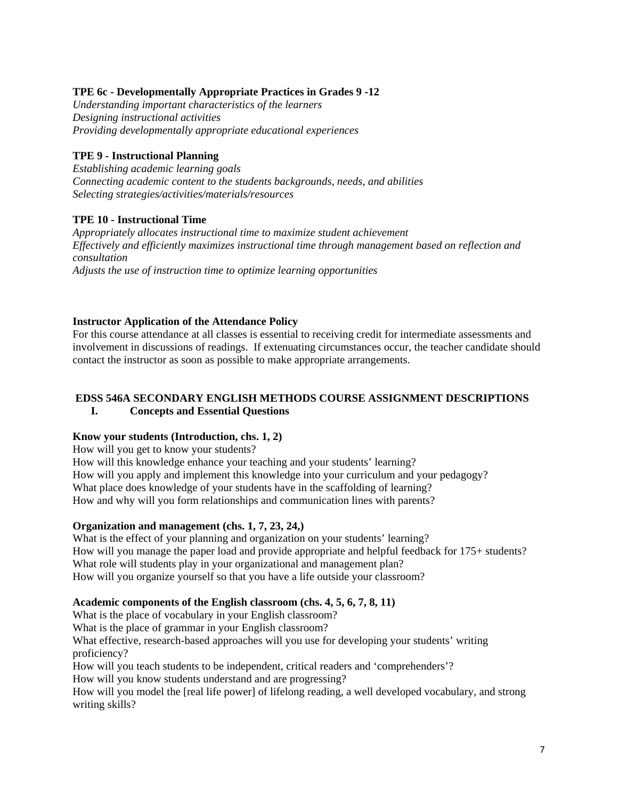# **TPE 6c - Developmentally Appropriate Practices in Grades 9 -12**

*Understanding important characteristics of the learners Designing instructional activities Providing developmentally appropriate educational experiences* 

# **TPE 9 - Instructional Planning**

*Establishing academic learning goals Connecting academic content to the students backgrounds, needs, and abilities Selecting strategies/activities/materials/resources* 

# **TPE 10 - Instructional Time**

*Appropriately allocates instructional time to maximize student achievement Effectively and efficiently maximizes instructional time through management based on reflection and consultation Adjusts the use of instruction time to optimize learning opportunities* 

# **Instructor Application of the Attendance Policy**

 involvement in discussions of readings. If extenuating circumstances occur, the teacher candidate should For this course attendance at all classes is essential to receiving credit for intermediate assessments and contact the instructor as soon as possible to make appropriate arrangements.

#### **EDSS 546A SECONDARY ENGLISH METHODS COURSE ASSIGNMENT DESCRIPTIONS I. Concepts and Essential Questions**

# **Know your students (Introduction, chs. 1, 2)**

How will you get to know your students?

How will this knowledge enhance your teaching and your students' learning? How will you apply and implement this knowledge into your curriculum and your pedagogy? What place does knowledge of your students have in the scaffolding of learning? How and why will you form relationships and communication lines with parents?

# **Organization and management (chs. 1, 7, 23, 24,)**

What is the effect of your planning and organization on your students' learning? How will you manage the paper load and provide appropriate and helpful feedback for 175+ students? What role will students play in your organizational and management plan? How will you organize yourself so that you have a life outside your classroom?

# **Academic components of the English classroom (chs. 4, 5, 6, 7, 8, 11)**

What is the place of vocabulary in your English classroom?

What is the place of grammar in your English classroom?

What effective, research-based approaches will you use for developing your students' writing proficiency?

How will you teach students to be independent, critical readers and 'comprehenders'?

How will you know students understand and are progressing?

How will you model the [real life power] of lifelong reading, a well developed vocabulary, and strong writing skills?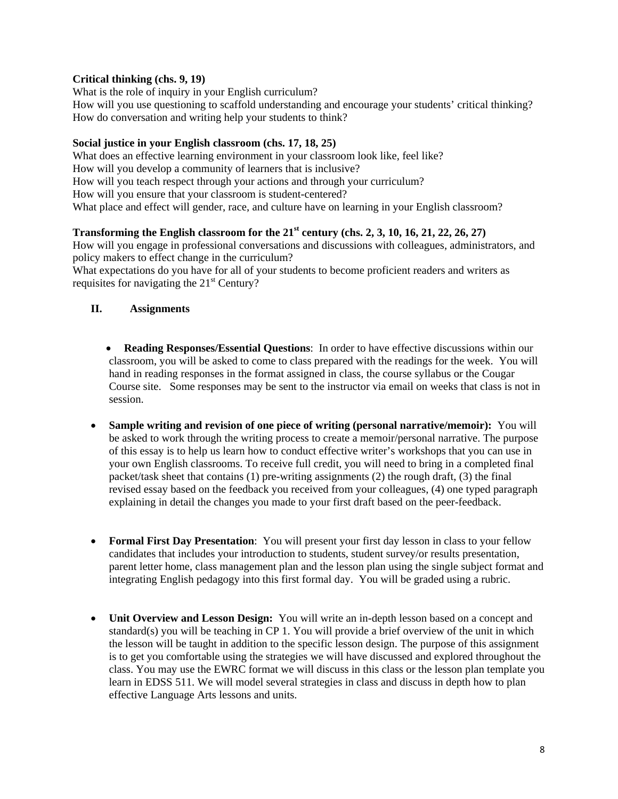# **Critical thinking (chs. 9, 19)**

What is the role of inquiry in your English curriculum? How will you use questioning to scaffold understanding and encourage your students' critical thinking? How do conversation and writing help your students to think?

# **Social justice in your English classroom (chs. 17, 18, 25)**

What does an effective learning environment in your classroom look like, feel like? How will you develop a community of learners that is inclusive? How will you teach respect through your actions and through your curriculum? How will you ensure that your classroom is student-centered? What place and effect will gender, race, and culture have on learning in your English classroom?

# **Transforming the English classroom for the 21st century (chs. 2, 3, 10, 16, 21, 22, 26, 27)**

How will you engage in professional conversations and discussions with colleagues, administrators, and policy makers to effect change in the curriculum?

What expectations do you have for all of your students to become proficient readers and writers as requisites for navigating the  $21<sup>st</sup>$  Century?

# **II. Assignments**

- **Reading Responses/Essential Questions**: In order to have effective discussions within our classroom, you will be asked to come to class prepared with the readings for the week. You will hand in reading responses in the format assigned in class, the course syllabus or the Cougar Course site. Some responses may be sent to the instructor via email on weeks that class is not in session.
- **Sample writing and revision of one piece of writing (personal narrative/memoir):** You will be asked to work through the writing process to create a memoir/personal narrative. The purpose of this essay is to help us learn how to conduct effective writer's workshops that you can use in your own English classrooms. To receive full credit, you will need to bring in a completed final packet/task sheet that contains (1) pre-writing assignments (2) the rough draft, (3) the final revised essay based on the feedback you received from your colleagues, (4) one typed paragraph explaining in detail the changes you made to your first draft based on the peer-feedback.
- **Formal First Day Presentation**: You will present your first day lesson in class to your fellow candidates that includes your introduction to students, student survey/or results presentation, parent letter home, class management plan and the lesson plan using the single subject format and integrating English pedagogy into this first formal day. You will be graded using a rubric.
- **Unit Overview and Lesson Design:** You will write an in-depth lesson based on a concept and standard(s) you will be teaching in CP 1. You will provide a brief overview of the unit in which the lesson will be taught in addition to the specific lesson design. The purpose of this assignment is to get you comfortable using the strategies we will have discussed and explored throughout the class. You may use the EWRC format we will discuss in this class or the lesson plan template you learn in EDSS 511. We will model several strategies in class and discuss in depth how to plan effective Language Arts lessons and units.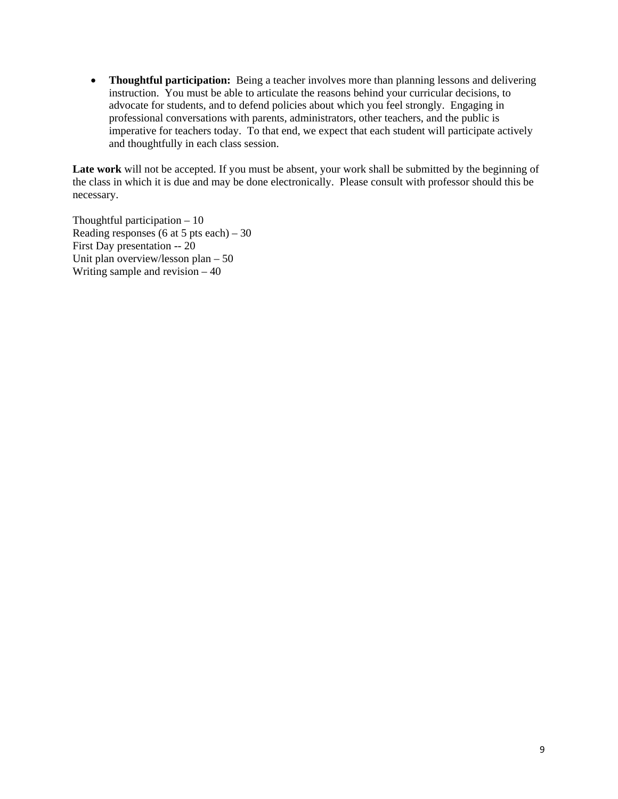**• Thoughtful participation:** Being a teacher involves more than planning lessons and delivering instruction. You must be able to articulate the reasons behind your curricular decisions, to advocate for students, and to defend policies about which you feel strongly. Engaging in professional conversations with parents, administrators, other teachers, and the public is imperative for teachers today. To that end, we expect that each student will participate actively and thoughtfully in each class session.

Late work will not be accepted. If you must be absent, your work shall be submitted by the beginning of the class in which it is due and may be done electronically. Please consult with professor should this be necessary.

Thoughtful participation  $-10$ Reading responses (6 at 5 pts each) – 30 First Day presentation -- 20 Unit plan overview/lesson plan – 50 Writing sample and revision – 40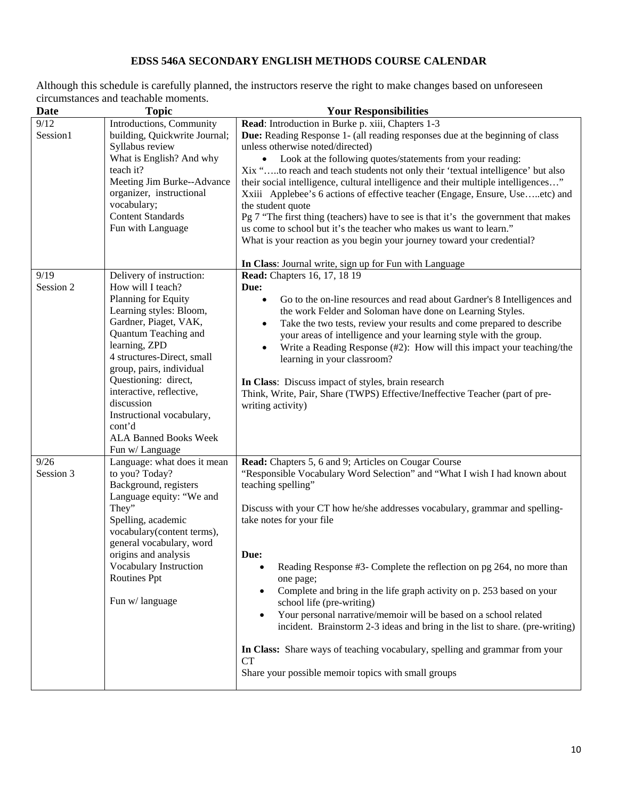# **EDSS 546A SECONDARY ENGLISH METHODS COURSE CALENDAR**

Although this schedule is carefully planned, the instructors reserve the right to make changes based on unforeseen circumstances and teachable moments.

| <b>Date</b>      | <b>Topic</b>                                                                                                                                                                                                                                                                                                                                                | <b>Your Responsibilities</b>                                                                                                                                                                                                                                                                                                                                                                                                                                                                                                                                                                                                                                                                                                                                |  |
|------------------|-------------------------------------------------------------------------------------------------------------------------------------------------------------------------------------------------------------------------------------------------------------------------------------------------------------------------------------------------------------|-------------------------------------------------------------------------------------------------------------------------------------------------------------------------------------------------------------------------------------------------------------------------------------------------------------------------------------------------------------------------------------------------------------------------------------------------------------------------------------------------------------------------------------------------------------------------------------------------------------------------------------------------------------------------------------------------------------------------------------------------------------|--|
| 9/12<br>Session1 | Introductions, Community<br>building, Quickwrite Journal;<br>Syllabus review<br>What is English? And why<br>teach it?<br>Meeting Jim Burke--Advance<br>organizer, instructional<br>vocabulary;<br><b>Content Standards</b><br>Fun with Language                                                                                                             | Read: Introduction in Burke p. xiii, Chapters 1-3<br>Due: Reading Response 1- (all reading responses due at the beginning of class<br>unless otherwise noted/directed)<br>Look at the following quotes/statements from your reading:<br>Xix "to reach and teach students not only their 'textual intelligence' but also<br>their social intelligence, cultural intelligence and their multiple intelligences"<br>Xxiii Applebee's 6 actions of effective teacher (Engage, Ensure, Useetc) and<br>the student quote<br>Pg 7 "The first thing (teachers) have to see is that it's the government that makes<br>us come to school but it's the teacher who makes us want to learn."<br>What is your reaction as you begin your journey toward your credential? |  |
| 9/19             | Delivery of instruction:                                                                                                                                                                                                                                                                                                                                    | In Class: Journal write, sign up for Fun with Language<br><b>Read:</b> Chapters 16, 17, 18 19                                                                                                                                                                                                                                                                                                                                                                                                                                                                                                                                                                                                                                                               |  |
| Session 2        | How will I teach?<br>Planning for Equity<br>Learning styles: Bloom,<br>Gardner, Piaget, VAK,<br>Quantum Teaching and<br>learning, ZPD<br>4 structures-Direct, small<br>group, pairs, individual<br>Questioning: direct,<br>interactive, reflective,<br>discussion<br>Instructional vocabulary,<br>cont'd<br><b>ALA Banned Books Week</b><br>Fun w/ Language | Due:<br>Go to the on-line resources and read about Gardner's 8 Intelligences and<br>٠<br>the work Felder and Soloman have done on Learning Styles.<br>Take the two tests, review your results and come prepared to describe<br>٠<br>your areas of intelligence and your learning style with the group.<br>Write a Reading Response (#2): How will this impact your teaching/the<br>$\bullet$<br>learning in your classroom?<br>In Class: Discuss impact of styles, brain research<br>Think, Write, Pair, Share (TWPS) Effective/Ineffective Teacher (part of pre-<br>writing activity)                                                                                                                                                                      |  |
| 9/26             | Language: what does it mean                                                                                                                                                                                                                                                                                                                                 | Read: Chapters 5, 6 and 9; Articles on Cougar Course                                                                                                                                                                                                                                                                                                                                                                                                                                                                                                                                                                                                                                                                                                        |  |
| Session 3        | to you? Today?<br>Background, registers<br>Language equity: "We and<br>They"<br>Spelling, academic<br>vocabulary(content terms),<br>general vocabulary, word<br>origins and analysis<br>Vocabulary Instruction<br><b>Routines Ppt</b><br>Fun w/ language                                                                                                    | "Responsible Vocabulary Word Selection" and "What I wish I had known about<br>teaching spelling"<br>Discuss with your CT how he/she addresses vocabulary, grammar and spelling-<br>take notes for your file<br>Due:<br>Reading Response #3- Complete the reflection on pg 264, no more than<br>one page;<br>Complete and bring in the life graph activity on p. 253 based on your<br>$\bullet$<br>school life (pre-writing)<br>Your personal narrative/memoir will be based on a school related<br>$\bullet$<br>incident. Brainstorm 2-3 ideas and bring in the list to share. (pre-writing)<br>In Class: Share ways of teaching vocabulary, spelling and grammar from your<br>CT<br>Share your possible memoir topics with small groups                    |  |
|                  |                                                                                                                                                                                                                                                                                                                                                             |                                                                                                                                                                                                                                                                                                                                                                                                                                                                                                                                                                                                                                                                                                                                                             |  |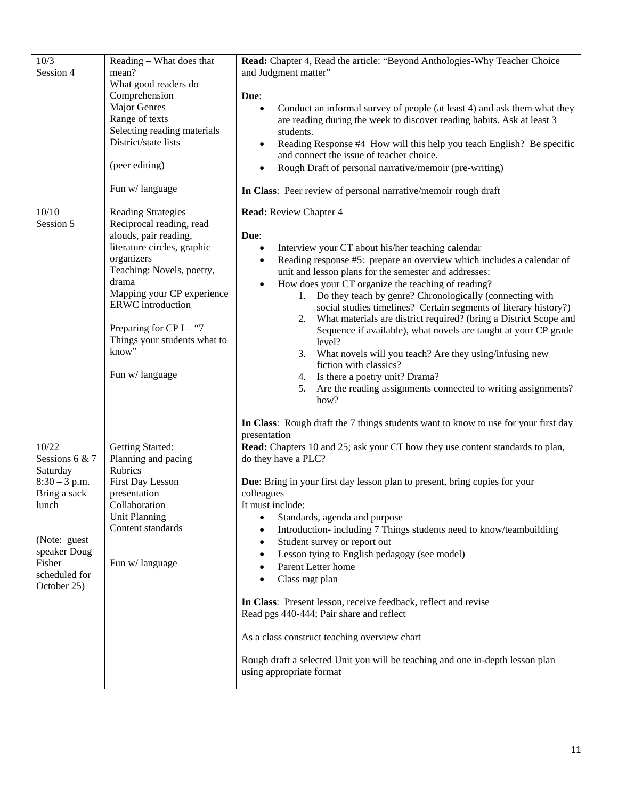| 10/3<br>Session 4                                                                                                                                | Reading – What does that<br>mean?<br>What good readers do<br>Comprehension<br><b>Major Genres</b><br>Range of texts<br>Selecting reading materials<br>District/state lists<br>(peer editing)                                                                                                               | Read: Chapter 4, Read the article: "Beyond Anthologies-Why Teacher Choice<br>and Judgment matter"<br>Due:<br>Conduct an informal survey of people (at least 4) and ask them what they<br>$\bullet$<br>are reading during the week to discover reading habits. Ask at least 3<br>students.<br>Reading Response #4 How will this help you teach English? Be specific<br>$\bullet$<br>and connect the issue of teacher choice.<br>Rough Draft of personal narrative/memoir (pre-writing)                                                                                                                                                                                                                                                                                                                                                                                                                               |  |
|--------------------------------------------------------------------------------------------------------------------------------------------------|------------------------------------------------------------------------------------------------------------------------------------------------------------------------------------------------------------------------------------------------------------------------------------------------------------|---------------------------------------------------------------------------------------------------------------------------------------------------------------------------------------------------------------------------------------------------------------------------------------------------------------------------------------------------------------------------------------------------------------------------------------------------------------------------------------------------------------------------------------------------------------------------------------------------------------------------------------------------------------------------------------------------------------------------------------------------------------------------------------------------------------------------------------------------------------------------------------------------------------------|--|
|                                                                                                                                                  | Fun w/language                                                                                                                                                                                                                                                                                             | In Class: Peer review of personal narrative/memoir rough draft                                                                                                                                                                                                                                                                                                                                                                                                                                                                                                                                                                                                                                                                                                                                                                                                                                                      |  |
| 10/10<br>Session 5                                                                                                                               | <b>Reading Strategies</b><br>Reciprocal reading, read<br>alouds, pair reading,<br>literature circles, graphic<br>organizers<br>Teaching: Novels, poetry,<br>drama<br>Mapping your CP experience<br>ERWC introduction<br>Preparing for CP I – "7<br>Things your students what to<br>know"<br>Fun w/language | <b>Read:</b> Review Chapter 4<br>Due:<br>Interview your CT about his/her teaching calendar<br>$\bullet$<br>Reading response #5: prepare an overview which includes a calendar of<br>$\bullet$<br>unit and lesson plans for the semester and addresses:<br>How does your CT organize the teaching of reading?<br>$\bullet$<br>1. Do they teach by genre? Chronologically (connecting with<br>social studies timelines? Certain segments of literary history?)<br>2. What materials are district required? (bring a District Scope and<br>Sequence if available), what novels are taught at your CP grade<br>level?<br>3. What novels will you teach? Are they using/infusing new<br>fiction with classics?<br>4. Is there a poetry unit? Drama?<br>Are the reading assignments connected to writing assignments?<br>5.<br>how?<br>In Class: Rough draft the 7 things students want to know to use for your first day |  |
| 10/22                                                                                                                                            | Getting Started:                                                                                                                                                                                                                                                                                           | presentation<br>Read: Chapters 10 and 25; ask your CT how they use content standards to plan,                                                                                                                                                                                                                                                                                                                                                                                                                                                                                                                                                                                                                                                                                                                                                                                                                       |  |
| Sessions 6 & 7<br>Saturday<br>$8:30 - 3$ p.m.<br>Bring a sack<br>lunch<br>(Note: guest<br>speaker Doug<br>Fisher<br>scheduled for<br>October 25) | Planning and pacing<br><b>Rubrics</b><br>First Day Lesson<br>presentation<br>Collaboration<br><b>Unit Planning</b><br>Content standards<br>Fun w/language                                                                                                                                                  | do they have a PLC?<br><b>Due:</b> Bring in your first day lesson plan to present, bring copies for your<br>colleagues<br>It must include:<br>Standards, agenda and purpose<br>$\bullet$<br>Introduction-including 7 Things students need to know/teambuilding<br>$\bullet$<br>Student survey or report out<br>$\bullet$<br>Lesson tying to English pedagogy (see model)<br>$\bullet$<br>Parent Letter home<br>$\bullet$<br>Class mgt plan<br>$\bullet$<br>In Class: Present lesson, receive feedback, reflect and revise<br>Read pgs 440-444; Pair share and reflect<br>As a class construct teaching overview chart<br>Rough draft a selected Unit you will be teaching and one in-depth lesson plan<br>using appropriate format                                                                                                                                                                                  |  |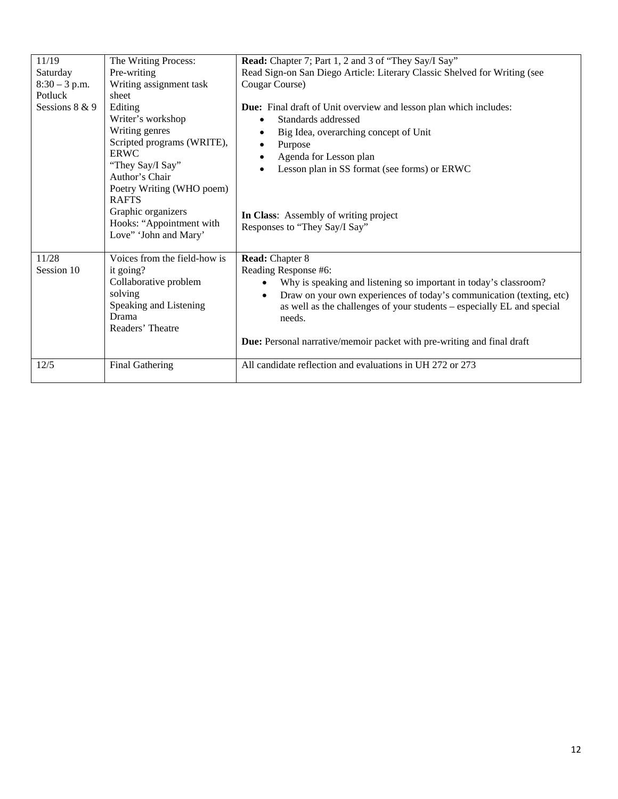| 11/19           | The Writing Process:                                                                                                                                                                                                                                      | Read: Chapter 7; Part 1, 2 and 3 of "They Say/I Say"                                                                                                                                                                                                                                                    |  |
|-----------------|-----------------------------------------------------------------------------------------------------------------------------------------------------------------------------------------------------------------------------------------------------------|---------------------------------------------------------------------------------------------------------------------------------------------------------------------------------------------------------------------------------------------------------------------------------------------------------|--|
| Saturday        | Pre-writing                                                                                                                                                                                                                                               | Read Sign-on San Diego Article: Literary Classic Shelved for Writing (see                                                                                                                                                                                                                               |  |
| $8:30 - 3$ p.m. | Writing assignment task                                                                                                                                                                                                                                   | Cougar Course)                                                                                                                                                                                                                                                                                          |  |
| Potluck         | sheet                                                                                                                                                                                                                                                     |                                                                                                                                                                                                                                                                                                         |  |
| Sessions 8 & 9  | Editing<br>Writer's workshop<br>Writing genres<br>Scripted programs (WRITE),<br><b>ERWC</b><br>"They Say/I Say"<br>Author's Chair<br>Poetry Writing (WHO poem)<br><b>RAFTS</b><br>Graphic organizers<br>Hooks: "Appointment with<br>Love" 'John and Mary' | <b>Due:</b> Final draft of Unit overview and lesson plan which includes:<br>Standards addressed<br>Big Idea, overarching concept of Unit<br>Purpose<br>Agenda for Lesson plan<br>Lesson plan in SS format (see forms) or ERWC<br>In Class: Assembly of writing project<br>Responses to "They Say/I Say" |  |
| 11/28           | Voices from the field-how is                                                                                                                                                                                                                              | <b>Read:</b> Chapter 8                                                                                                                                                                                                                                                                                  |  |
| Session 10      | it going?                                                                                                                                                                                                                                                 | Reading Response #6:                                                                                                                                                                                                                                                                                    |  |
|                 | Collaborative problem                                                                                                                                                                                                                                     | Why is speaking and listening so important in today's classroom?<br>$\bullet$                                                                                                                                                                                                                           |  |
|                 | solving                                                                                                                                                                                                                                                   | Draw on your own experiences of today's communication (texting, etc)<br>$\bullet$                                                                                                                                                                                                                       |  |
|                 | Speaking and Listening                                                                                                                                                                                                                                    | as well as the challenges of your students - especially EL and special                                                                                                                                                                                                                                  |  |
|                 | Drama                                                                                                                                                                                                                                                     | needs.                                                                                                                                                                                                                                                                                                  |  |
|                 | Readers' Theatre                                                                                                                                                                                                                                          |                                                                                                                                                                                                                                                                                                         |  |
|                 |                                                                                                                                                                                                                                                           | <b>Due:</b> Personal narrative/memoir packet with pre-writing and final draft                                                                                                                                                                                                                           |  |
| 12/5            | Final Gathering                                                                                                                                                                                                                                           | All candidate reflection and evaluations in UH 272 or 273                                                                                                                                                                                                                                               |  |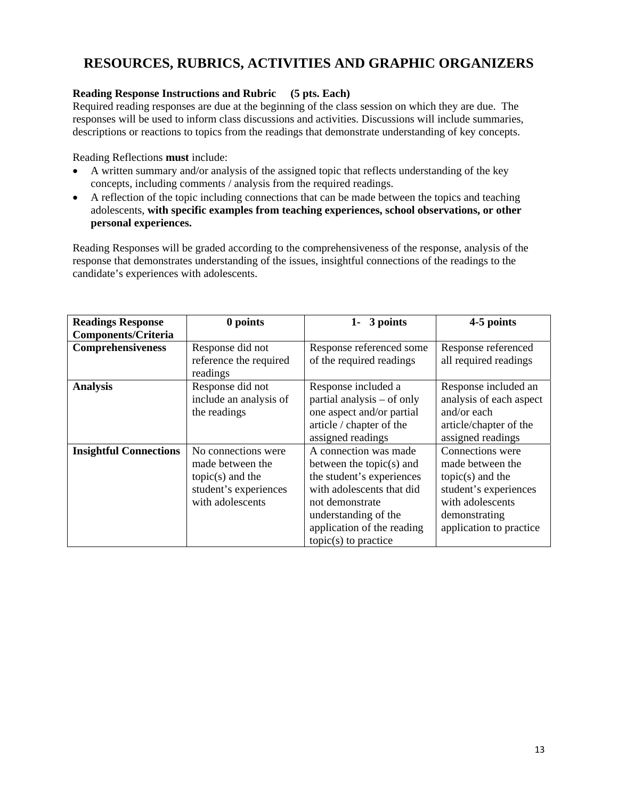# **RESOURCES, RUBRICS, ACTIVITIES AND GRAPHIC ORGANIZERS**

# **Reading Response Instructions and Rubric (5 pts. Each)**

Required reading responses are due at the beginning of the class session on which they are due. The responses will be used to inform class discussions and activities. Discussions will include summaries, descriptions or reactions to topics from the readings that demonstrate understanding of key concepts.

Reading Reflections **must** include:

- A written summary and/or analysis of the assigned topic that reflects understanding of the key concepts, including comments / analysis from the required readings.
- A reflection of the topic including connections that can be made between the topics and teaching adolescents, **with specific examples from teaching experiences, school observations, or other personal experiences.**

Reading Responses will be graded according to the comprehensiveness of the response, analysis of the response that demonstrates understanding of the issues, insightful connections of the readings to the candidate's experiences with adolescents.

| <b>Readings Response</b>      | 0 points                                                                                                   | 3 points<br>$1 -$                                                                                                                                                                                                 | 4-5 points                                                                                                                                          |
|-------------------------------|------------------------------------------------------------------------------------------------------------|-------------------------------------------------------------------------------------------------------------------------------------------------------------------------------------------------------------------|-----------------------------------------------------------------------------------------------------------------------------------------------------|
| <b>Components/Criteria</b>    |                                                                                                            |                                                                                                                                                                                                                   |                                                                                                                                                     |
| Comprehensiveness             | Response did not<br>reference the required<br>readings                                                     | Response referenced some<br>of the required readings                                                                                                                                                              | Response referenced<br>all required readings                                                                                                        |
| <b>Analysis</b>               | Response did not<br>include an analysis of<br>the readings                                                 | Response included a<br>partial analysis – of only<br>one aspect and/or partial<br>article / chapter of the<br>assigned readings                                                                                   | Response included an<br>analysis of each aspect<br>and/or each<br>article/chapter of the<br>assigned readings                                       |
| <b>Insightful Connections</b> | No connections were<br>made between the<br>$topic(s)$ and the<br>student's experiences<br>with adolescents | A connection was made<br>between the topic $(s)$ and<br>the student's experiences<br>with adolescents that did<br>not demonstrate<br>understanding of the<br>application of the reading<br>$topic(s)$ to practice | Connections were<br>made between the<br>$topic(s)$ and the<br>student's experiences<br>with adolescents<br>demonstrating<br>application to practice |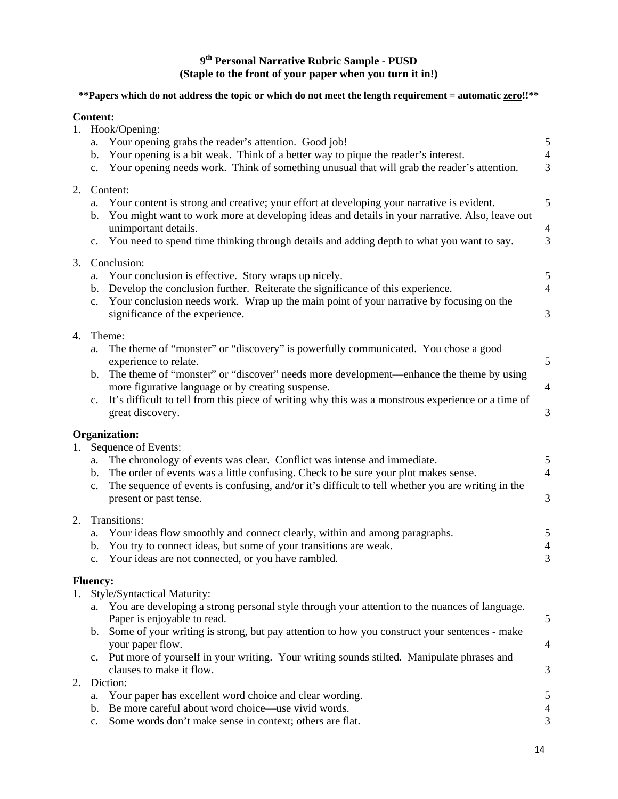# **9th Personal Narrative Rubric Sample - PUSD (Staple to the front of your paper when you turn it in!)**

# **\*\*Papers which do not address the topic or which do not meet the length requirement = automatic zero!!\*\***

# **Content:**

| 1. | Hook/Opening:<br>Your opening grabs the reader's attention. Good job!<br>a.<br>Your opening is a bit weak. Think of a better way to pique the reader's interest.<br>b.<br>Your opening needs work. Think of something unusual that will grab the reader's attention.<br>$\mathbf{c}$ .                                                                                                                                                                    | 5<br>$\overline{4}$<br>3 |
|----|-----------------------------------------------------------------------------------------------------------------------------------------------------------------------------------------------------------------------------------------------------------------------------------------------------------------------------------------------------------------------------------------------------------------------------------------------------------|--------------------------|
| 2. | Content:<br>Your content is strong and creative; your effort at developing your narrative is evident.<br>a.<br>You might want to work more at developing ideas and details in your narrative. Also, leave out<br>b.<br>unimportant details.<br>You need to spend time thinking through details and adding depth to what you want to say.<br>$\mathbf{c}$ .                                                                                                | 5<br>$\overline{4}$<br>3 |
| 3. | Conclusion:<br>Your conclusion is effective. Story wraps up nicely.<br>a.<br>Develop the conclusion further. Reiterate the significance of this experience.<br>b.<br>Your conclusion needs work. Wrap up the main point of your narrative by focusing on the<br>$\mathbf{c}$ .<br>significance of the experience.                                                                                                                                         | 5<br>$\overline{4}$<br>3 |
| 4. | Theme:<br>The theme of "monster" or "discovery" is powerfully communicated. You chose a good<br>a.<br>experience to relate.<br>The theme of "monster" or "discover" needs more development—enhance the theme by using<br>b.<br>more figurative language or by creating suspense.<br>It's difficult to tell from this piece of writing why this was a monstrous experience or a time of<br>$c_{\cdot}$<br>great discovery.                                 | 5<br>$\overline{4}$<br>3 |
| 1. | Organization:<br>Sequence of Events:<br>The chronology of events was clear. Conflict was intense and immediate.<br>a.<br>The order of events was a little confusing. Check to be sure your plot makes sense.<br>$b_{1}$<br>The sequence of events is confusing, and/or it's difficult to tell whether you are writing in the<br>$c_{\cdot}$<br>present or past tense.                                                                                     | 5<br>$\overline{4}$<br>3 |
| 2. | Transitions:<br>Your ideas flow smoothly and connect clearly, within and among paragraphs.<br>a.<br>You try to connect ideas, but some of your transitions are weak.<br>b.<br>Your ideas are not connected, or you have rambled.<br>c.                                                                                                                                                                                                                    | 5<br>$\overline{4}$<br>3 |
|    | <b>Fluency:</b><br>Style/Syntactical Maturity:<br>You are developing a strong personal style through your attention to the nuances of language.<br>a.<br>Paper is enjoyable to read.<br>Some of your writing is strong, but pay attention to how you construct your sentences - make<br>b.<br>your paper flow.<br>Put more of yourself in your writing. Your writing sounds stilted. Manipulate phrases and<br>$\mathbf{c}$ .<br>clauses to make it flow. | 5<br>4<br>3              |
| 2. | Diction:<br>Your paper has excellent word choice and clear wording.<br>a.<br>Be more careful about word choice—use vivid words.<br>b.<br>Some words don't make sense in context; others are flat.<br>c.                                                                                                                                                                                                                                                   | 5<br>$\overline{4}$<br>3 |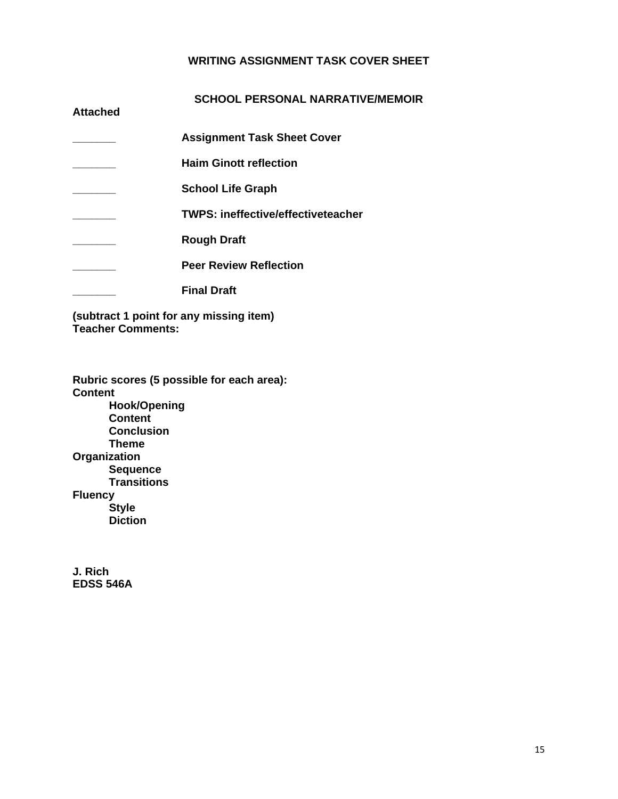# **WRITING ASSIGNMENT TASK COVER SHEET**

| <b>Attached</b> | <b>SCHOOL PERSONAL NARRATIVE/MEMOIR</b>   |
|-----------------|-------------------------------------------|
|                 | <b>Assignment Task Sheet Cover</b>        |
|                 | <b>Haim Ginott reflection</b>             |
|                 | <b>School Life Graph</b>                  |
|                 | <b>TWPS: ineffective/effectiveteacher</b> |
|                 | <b>Rough Draft</b>                        |
|                 | <b>Peer Review Reflection</b>             |
|                 | <b>Final Draft</b>                        |

**(subtract 1 point for any missing item) Teacher Comments:** 

**Rubric scores (5 possible for each area): Content Hook/Opening Content Conclusion Theme Organization Sequence Transitions Fluency Style Diction** 

**J. Rich EDSS 546A**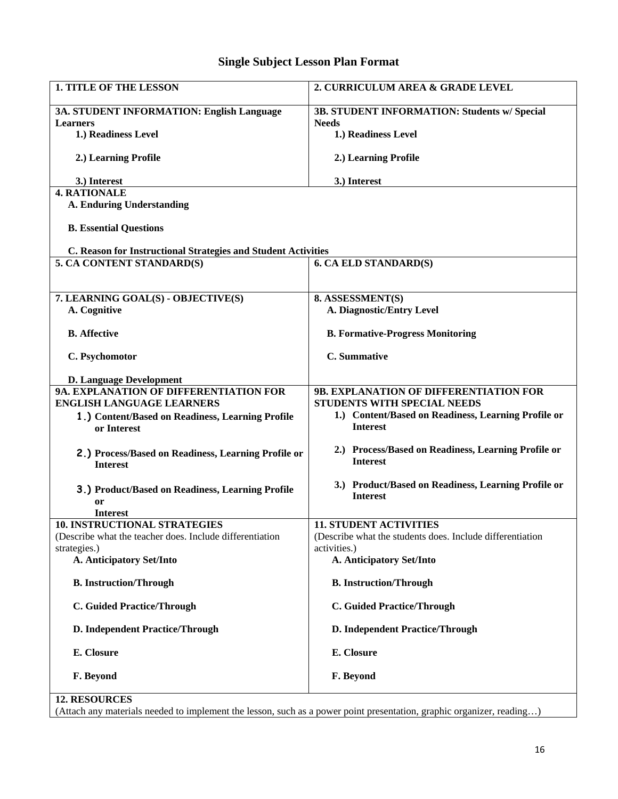# **Single Subject Lesson Plan Format**

| <b>1. TITLE OF THE LESSON</b>                                                                   | 2. CURRICULUM AREA & GRADE LEVEL                                                           |  |  |
|-------------------------------------------------------------------------------------------------|--------------------------------------------------------------------------------------------|--|--|
| 3A. STUDENT INFORMATION: English Language                                                       | 3B. STUDENT INFORMATION: Students w/ Special                                               |  |  |
| <b>Learners</b>                                                                                 | <b>Needs</b>                                                                               |  |  |
| 1.) Readiness Level                                                                             | 1.) Readiness Level                                                                        |  |  |
| 2.) Learning Profile                                                                            | 2.) Learning Profile                                                                       |  |  |
| 3.) Interest                                                                                    | 3.) Interest                                                                               |  |  |
| <b>4. RATIONALE</b>                                                                             |                                                                                            |  |  |
| <b>A. Enduring Understanding</b>                                                                |                                                                                            |  |  |
| <b>B.</b> Essential Questions                                                                   |                                                                                            |  |  |
| C. Reason for Instructional Strategies and Student Activities                                   |                                                                                            |  |  |
| 5. CA CONTENT STANDARD(S)                                                                       | <b>6. CA ELD STANDARD(S)</b>                                                               |  |  |
|                                                                                                 |                                                                                            |  |  |
| 7. LEARNING GOAL(S) - OBJECTIVE(S)                                                              | 8. ASSESSMENT(S)                                                                           |  |  |
| A. Cognitive                                                                                    | <b>A. Diagnostic/Entry Level</b>                                                           |  |  |
|                                                                                                 |                                                                                            |  |  |
| <b>B.</b> Affective                                                                             | <b>B. Formative-Progress Monitoring</b>                                                    |  |  |
| C. Psychomotor                                                                                  | C. Summative                                                                               |  |  |
| <b>D. Language Development</b>                                                                  |                                                                                            |  |  |
| 9A. EXPLANATION OF DIFFERENTIATION FOR                                                          | 9B. EXPLANATION OF DIFFERENTIATION FOR                                                     |  |  |
| <b>ENGLISH LANGUAGE LEARNERS</b>                                                                | STUDENTS WITH SPECIAL NEEDS                                                                |  |  |
| 1.) Content/Based on Readiness, Learning Profile                                                | 1.) Content/Based on Readiness, Learning Profile or                                        |  |  |
| or Interest                                                                                     | <b>Interest</b>                                                                            |  |  |
| 2.) Process/Based on Readiness, Learning Profile or<br><b>Interest</b>                          | 2.) Process/Based on Readiness, Learning Profile or<br><b>Interest</b>                     |  |  |
|                                                                                                 |                                                                                            |  |  |
| 3.) Product/Based on Readiness, Learning Profile                                                | 3.) Product/Based on Readiness, Learning Profile or<br><b>Interest</b>                     |  |  |
| or                                                                                              |                                                                                            |  |  |
| <b>Interest</b>                                                                                 |                                                                                            |  |  |
| <b>10. INSTRUCTIONAL STRATEGIES</b><br>(Describe what the teacher does. Include differentiation | <b>11. STUDENT ACTIVITIES</b><br>(Describe what the students does. Include differentiation |  |  |
| strategies.)                                                                                    | activities.)                                                                               |  |  |
| A. Anticipatory Set/Into                                                                        | A. Anticipatory Set/Into                                                                   |  |  |
| <b>B.</b> Instruction/Through                                                                   | <b>B.</b> Instruction/Through                                                              |  |  |
| <b>C. Guided Practice/Through</b>                                                               | <b>C. Guided Practice/Through</b>                                                          |  |  |
| D. Independent Practice/Through                                                                 | D. Independent Practice/Through                                                            |  |  |
| E. Closure                                                                                      | E. Closure                                                                                 |  |  |
| F. Beyond                                                                                       | F. Beyond                                                                                  |  |  |
| <b>12. RESOURCES</b>                                                                            |                                                                                            |  |  |

(Attach any materials needed to implement the lesson, such as a power point presentation, graphic organizer, reading…)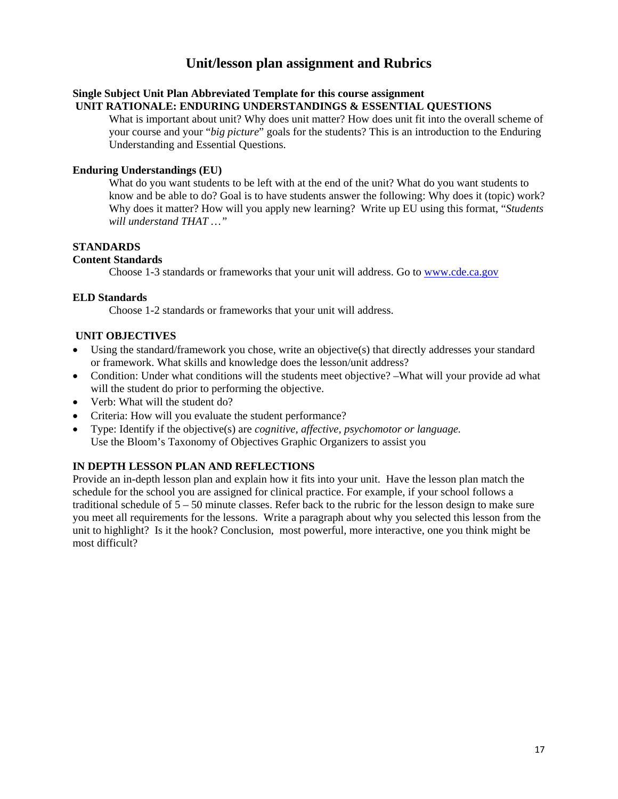# **Unit/lesson plan assignment and Rubrics**

#### **Single Subject Unit Plan Abbreviated Template for this course assignment UNIT RATIONALE: ENDURING UNDERSTANDINGS & ESSENTIAL QUESTIONS**

What is important about unit? Why does unit matter? How does unit fit into the overall scheme of your course and your "*big picture*" goals for the students? This is an introduction to the Enduring Understanding and Essential Questions.

## **Enduring Understandings (EU)**

What do you want students to be left with at the end of the unit? What do you want students to know and be able to do? Goal is to have students answer the following: Why does it (topic) work? Why does it matter? How will you apply new learning? Write up EU using this format, "*Students will understand THAT …"* 

## **STANDARDS**

## **Content Standards**

Choose 1-3 standards or frameworks that your unit will address. Go to www.cde.ca.gov

## **ELD Standards**

Choose 1-2 standards or frameworks that your unit will address.

## **UNIT OBJECTIVES**

- Using the standard/framework you chose, write an objective(s) that directly addresses your standard or framework. What skills and knowledge does the lesson/unit address?
- Condition: Under what conditions will the students meet objective? –What will your provide ad what will the student do prior to performing the objective.
- Verb: What will the student do?
- Criteria: How will you evaluate the student performance?
- Type: Identify if the objective(s) are *cognitive, affective, psychomotor or language.*  Use the Bloom's Taxonomy of Objectives Graphic Organizers to assist you

# **IN DEPTH LESSON PLAN AND REFLECTIONS**

Provide an in-depth lesson plan and explain how it fits into your unit. Have the lesson plan match the schedule for the school you are assigned for clinical practice. For example, if your school follows a traditional schedule of 5 – 50 minute classes. Refer back to the rubric for the lesson design to make sure you meet all requirements for the lessons. Write a paragraph about why you selected this lesson from the unit to highlight? Is it the hook? Conclusion, most powerful, more interactive, one you think might be most difficult?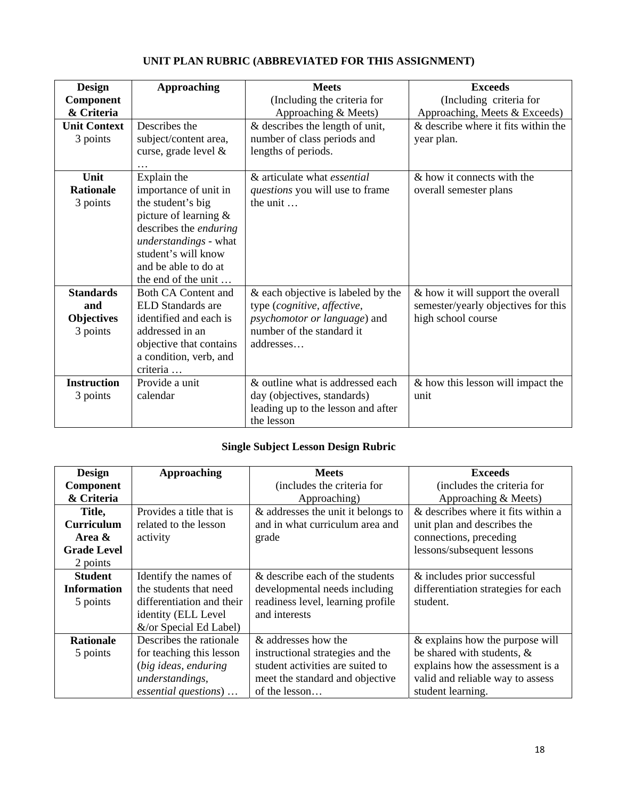| <b>Design</b>       | <b>Approaching</b>            | <b>Meets</b>                       | <b>Exceeds</b>                      |
|---------------------|-------------------------------|------------------------------------|-------------------------------------|
|                     |                               |                                    |                                     |
| <b>Component</b>    |                               | (Including the criteria for        | (Including criteria for             |
| & Criteria          |                               | Approaching & Meets)               | Approaching, Meets & Exceeds)       |
| <b>Unit Context</b> | Describes the                 | & describes the length of unit,    | & describe where it fits within the |
| 3 points            | subject/content area,         | number of class periods and        | year plan.                          |
|                     | curse, grade level &          | lengths of periods.                |                                     |
|                     |                               |                                    |                                     |
| Unit                | Explain the                   | & articulate what <i>essential</i> | & how it connects with the          |
| <b>Rationale</b>    | importance of unit in         | questions you will use to frame    | overall semester plans              |
| 3 points            | the student's big             | the unit $\dots$                   |                                     |
|                     | picture of learning $\&$      |                                    |                                     |
|                     | describes the <i>enduring</i> |                                    |                                     |
|                     | understandings - what         |                                    |                                     |
|                     | student's will know           |                                    |                                     |
|                     | and be able to do at          |                                    |                                     |
|                     | the end of the unit           |                                    |                                     |
| <b>Standards</b>    | Both CA Content and           | & each objective is labeled by the | & how it will support the overall   |
| and                 | <b>ELD</b> Standards are      | type (cognitive, affective,        | semester/yearly objectives for this |
| <b>Objectives</b>   | identified and each is        | psychomotor or language) and       | high school course                  |
| 3 points            | addressed in an               | number of the standard it          |                                     |
|                     | objective that contains       | addresses                          |                                     |
|                     |                               |                                    |                                     |
|                     | a condition, verb, and        |                                    |                                     |
|                     | criteria                      |                                    |                                     |
| <b>Instruction</b>  | Provide a unit                | & outline what is addressed each   | & how this lesson will impact the   |
| 3 points            | calendar                      | day (objectives, standards)        | unit                                |
|                     |                               | leading up to the lesson and after |                                     |
|                     |                               | the lesson                         |                                     |

# **UNIT PLAN RUBRIC (ABBREVIATED FOR THIS ASSIGNMENT)**

# **Single Subject Lesson Design Rubric**

| <b>Design</b>      | Approaching               | <b>Meets</b>                       | <b>Exceeds</b>                      |
|--------------------|---------------------------|------------------------------------|-------------------------------------|
| Component          |                           | (includes the criteria for         | (includes the criteria for          |
| & Criteria         |                           | Approaching)                       | Approaching & Meets)                |
| Title,             | Provides a title that is  | & addresses the unit it belongs to | & describes where it fits within a  |
| <b>Curriculum</b>  | related to the lesson     | and in what curriculum area and    | unit plan and describes the         |
| Area &             | activity                  | grade                              | connections, preceding              |
| <b>Grade Level</b> |                           |                                    | lessons/subsequent lessons          |
| 2 points           |                           |                                    |                                     |
| <b>Student</b>     | Identify the names of     | & describe each of the students    | & includes prior successful         |
| <b>Information</b> | the students that need    | developmental needs including      | differentiation strategies for each |
| 5 points           | differentiation and their | readiness level, learning profile  | student.                            |
|                    | identity (ELL Level       | and interests                      |                                     |
|                    | &/or Special Ed Label)    |                                    |                                     |
| <b>Rationale</b>   | Describes the rationale   | & addresses how the                | & explains how the purpose will     |
| 5 points           | for teaching this lesson  | instructional strategies and the   | be shared with students, &          |
|                    | (big ideas, enduring      | student activities are suited to   | explains how the assessment is a    |
|                    | understandings,           | meet the standard and objective    | valid and reliable way to assess    |
|                    | essential questions)      | of the lesson                      | student learning.                   |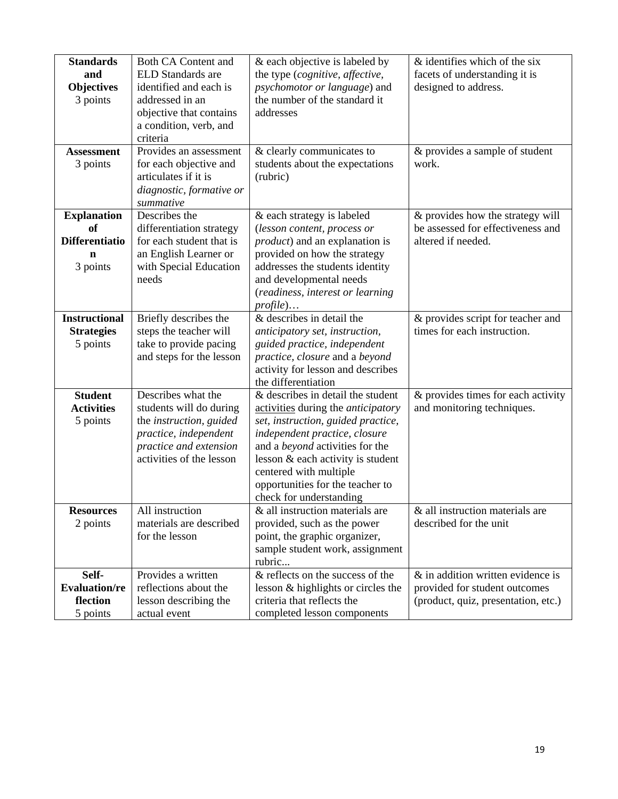| <b>Standards</b><br>and                                            | <b>Both CA Content and</b><br>ELD Standards are                                                                                                         | & each objective is labeled by<br>the type (cognitive, affective,                                                                                                                                                                                                                                                             | & identifies which of the six<br>facets of understanding it is                                               |
|--------------------------------------------------------------------|---------------------------------------------------------------------------------------------------------------------------------------------------------|-------------------------------------------------------------------------------------------------------------------------------------------------------------------------------------------------------------------------------------------------------------------------------------------------------------------------------|--------------------------------------------------------------------------------------------------------------|
| <b>Objectives</b><br>3 points                                      | identified and each is<br>addressed in an<br>objective that contains<br>a condition, verb, and<br>criteria                                              | psychomotor or language) and<br>the number of the standard it<br>addresses                                                                                                                                                                                                                                                    | designed to address.                                                                                         |
| <b>Assessment</b><br>3 points                                      | Provides an assessment<br>for each objective and<br>articulates if it is<br>diagnostic, formative or<br>summative                                       | & clearly communicates to<br>students about the expectations<br>(rubric)                                                                                                                                                                                                                                                      | & provides a sample of student<br>work.                                                                      |
| <b>Explanation</b><br>of<br><b>Differentiatio</b><br>n<br>3 points | Describes the<br>differentiation strategy<br>for each student that is<br>an English Learner or<br>with Special Education<br>needs                       | & each strategy is labeled<br>(lesson content, process or<br><i>product</i> ) and an explanation is<br>provided on how the strategy<br>addresses the students identity<br>and developmental needs<br>(readiness, interest or learning<br>$profile) \dots$                                                                     | & provides how the strategy will<br>be assessed for effectiveness and<br>altered if needed.                  |
| <b>Instructional</b><br><b>Strategies</b><br>5 points              | Briefly describes the<br>steps the teacher will<br>take to provide pacing<br>and steps for the lesson                                                   | & describes in detail the<br>anticipatory set, instruction,<br>guided practice, independent<br>practice, closure and a beyond<br>activity for lesson and describes<br>the differentiation                                                                                                                                     | & provides script for teacher and<br>times for each instruction.                                             |
| <b>Student</b><br><b>Activities</b><br>5 points                    | Describes what the<br>students will do during<br>the instruction, guided<br>practice, independent<br>practice and extension<br>activities of the lesson | & describes in detail the student<br>activities during the <i>anticipatory</i><br>set, instruction, guided practice,<br>independent practice, closure<br>and a <i>beyond</i> activities for the<br>lesson & each activity is student<br>centered with multiple<br>opportunities for the teacher to<br>check for understanding | & provides times for each activity<br>and monitoring techniques.                                             |
| <b>Resources</b><br>2 points                                       | All instruction<br>materials are described<br>for the lesson                                                                                            | & all instruction materials are<br>provided, such as the power<br>point, the graphic organizer,<br>sample student work, assignment<br>rubric                                                                                                                                                                                  | & all instruction materials are<br>described for the unit                                                    |
| Self-<br><b>Evaluation/re</b><br>flection<br>5 points              | Provides a written<br>reflections about the<br>lesson describing the<br>actual event                                                                    | & reflects on the success of the<br>lesson & highlights or circles the<br>criteria that reflects the<br>completed lesson components                                                                                                                                                                                           | $\&$ in addition written evidence is<br>provided for student outcomes<br>(product, quiz, presentation, etc.) |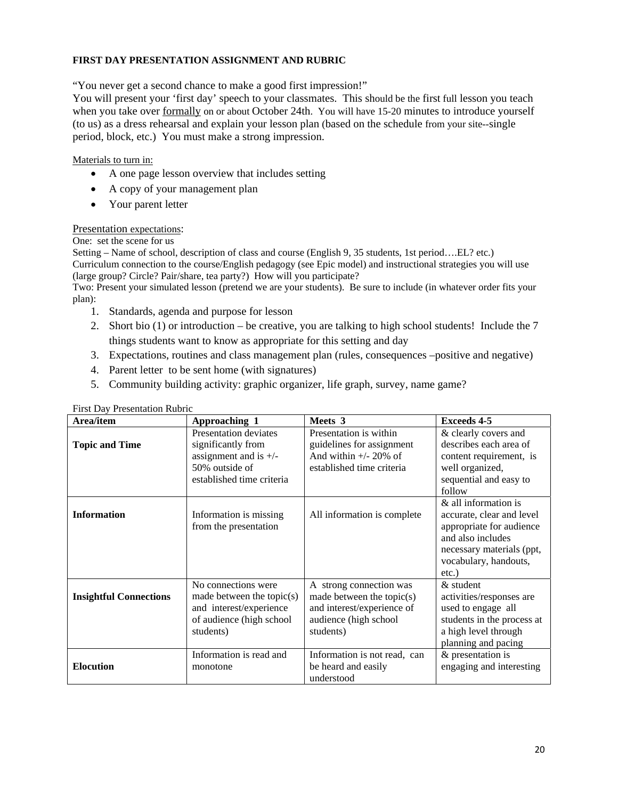## **FIRST DAY PRESENTATION ASSIGNMENT AND RUBRIC**

"You never get a second chance to make a good first impression!"

You will present your 'first day' speech to your classmates. This should be the first full lesson you teach when you take over formally on or about October 24th. You will have 15-20 minutes to introduce yourself (to us) as a dress rehearsal and explain your lesson plan (based on the schedule from your site--single period, block, etc.) You must make a strong impression.

## Materials to turn in:

- A one page lesson overview that includes setting
- A copy of your management plan
- Your parent letter

# Presentation expectations:

One: set the scene for us

 Setting – Name of school, description of class and course (English 9, 35 students, 1st period….EL? etc.) Curriculum connection to the course/English pedagogy (see Epic model) and instructional strategies you will use (large group? Circle? Pair/share, tea party?) How will you participate?

Two: Present your simulated lesson (pretend we are your students). Be sure to include (in whatever order fits your plan):

- 1. Standards, agenda and purpose for lesson
- 2. Short bio  $(1)$  or introduction be creative, you are talking to high school students! Include the 7 things students want to know as appropriate for this setting and day
- 3. Expectations, routines and class management plan (rules, consequences –positive and negative)
- 4. Parent letter to be sent home (with signatures)
- 5. Community building activity: graphic organizer, life graph, survey, name game?

| Area/item                     | Approaching 1                                                                                                         | Meets 3                                                                                                                     | <b>Exceeds 4-5</b>                                                                                                                                                   |
|-------------------------------|-----------------------------------------------------------------------------------------------------------------------|-----------------------------------------------------------------------------------------------------------------------------|----------------------------------------------------------------------------------------------------------------------------------------------------------------------|
| <b>Topic and Time</b>         | Presentation deviates<br>significantly from<br>assignment and is $+/-$<br>50% outside of<br>established time criteria | Presentation is within<br>guidelines for assignment<br>And within $+/- 20\%$ of<br>established time criteria                | & clearly covers and<br>describes each area of<br>content requirement, is<br>well organized,<br>sequential and easy to<br>follow                                     |
| <b>Information</b>            | Information is missing.<br>from the presentation                                                                      | All information is complete                                                                                                 | & all information is<br>accurate, clear and level<br>appropriate for audience<br>and also includes<br>necessary materials (ppt,<br>vocabulary, handouts,<br>$etc.$ ) |
| <b>Insightful Connections</b> | No connections were<br>made between the topic(s)<br>and interest/experience<br>of audience (high school<br>students)  | A strong connection was<br>made between the topic $(s)$<br>and interest/experience of<br>audience (high school<br>students) | $&$ student<br>activities/responses are<br>used to engage all<br>students in the process at<br>a high level through<br>planning and pacing                           |
| <b>Elocution</b>              | Information is read and<br>monotone                                                                                   | Information is not read, can<br>be heard and easily<br>understood                                                           | & presentation is<br>engaging and interesting                                                                                                                        |

#### First Day Presentation Rubric